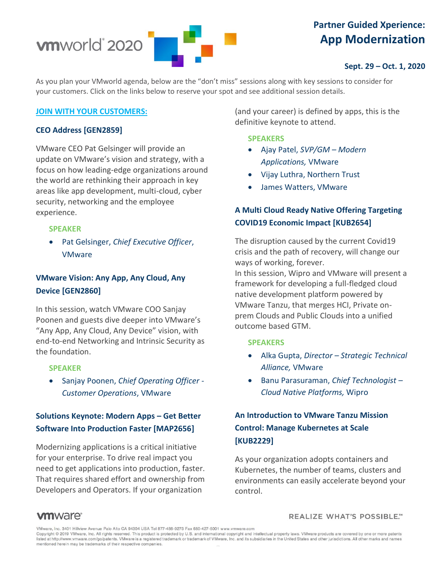

# **Partner Guided Xperience: App Modernization**

### **Sept. 29 – Oct. 1, 2020**

As you plan your VMworld agenda, below are the "don't miss" sessions along with key sessions to consider for your customers. Click on the links below to reserve your spot and see additional session details.

#### **[JOIN WITH YOUR CUSTOMERS:](https://my.vmworld.com/widget/vmware/vmworld2020/catalog?search=GEN2859%2C%20GEN2860%2C%20MAP2656%2C%20KUB2654%2C%20KUB2229%2C%20)**

### **CEO Address [GEN2859]**

VMware CEO Pat Gelsinger will provide an update on VMware's vision and strategy, with a focus on how leading-edge organizations around the world are rethinking their approach in key areas like app development, multi-cloud, cyber security, networking and the employee experience.

### **SPEAKER**

• Pat Gelsinger, *Chief Executive Officer*, VMware

### **VMware Vision: Any App, Any Cloud, Any Device [GEN2860]**

In this session, watch VMware COO Sanjay Poonen and guests dive deeper into VMware's "Any App, Any Cloud, Any Device" vision, with end-to-end Networking and Intrinsic Security as the foundation.

#### **SPEAKER**

• Sanjay Poonen, *Chief Operating Officer - Customer Operations*, VMware

### **Solutions Keynote: Modern Apps – Get Better Software Into Production Faster [MAP2656]**

Modernizing applications is a critical initiative for your enterprise. To drive real impact you need to get applications into production, faster. That requires shared effort and ownership from Developers and Operators. If your organization

(and your career) is defined by apps, this is the definitive keynote to attend.

#### **SPEAKERS**

- Ajay Patel, *SVP/GM – Modern Applications,* VMware
- Vijay Luthra, Northern Trust
- James Watters, VMware

## **A Multi Cloud Ready Native Offering Targeting COVID19 Economic Impact [KUB2654]**

The disruption caused by the current Covid19 crisis and the path of recovery, will change our ways of working, forever.

In this session, Wipro and VMware will present a framework for developing a full-fledged cloud native development platform powered by VMware Tanzu, that merges HCI, Private onprem Clouds and Public Clouds into a unified outcome based GTM.

#### **SPEAKERS**

- Alka Gupta, *Director – Strategic Technical Alliance,* VMware
- Banu Parasuraman, *Chief Technologist – Cloud Native Platforms,* Wipro

## **An Introduction to VMware Tanzu Mission Control: Manage Kubernetes at Scale [KUB2229]**

As your organization adopts containers and Kubernetes, the number of teams, clusters and environments can easily accelerate beyond your control.

REALIZE WHAT'S POSSIBLE."

### **vm**ware<sup>®</sup>

VMware, Inc. 3401 Hillview Avenue Palo Alto CA 94304 USA Tel 877-486-9273 Fax 650-427-5001 www.vmware.com

Copyright @ 2019 VMware, Inc. All rights reserved. This product is protected by U.S. and international copyright and intellectual property laws. VMware products are covered by one or more patents listed at http://www.vmware.com/go/patents. VMware is a registered trademark or trademark of VMware, Inc. and its subsidiaries in the United States and other jurisdictions. All other marks and names mentioned herein may be